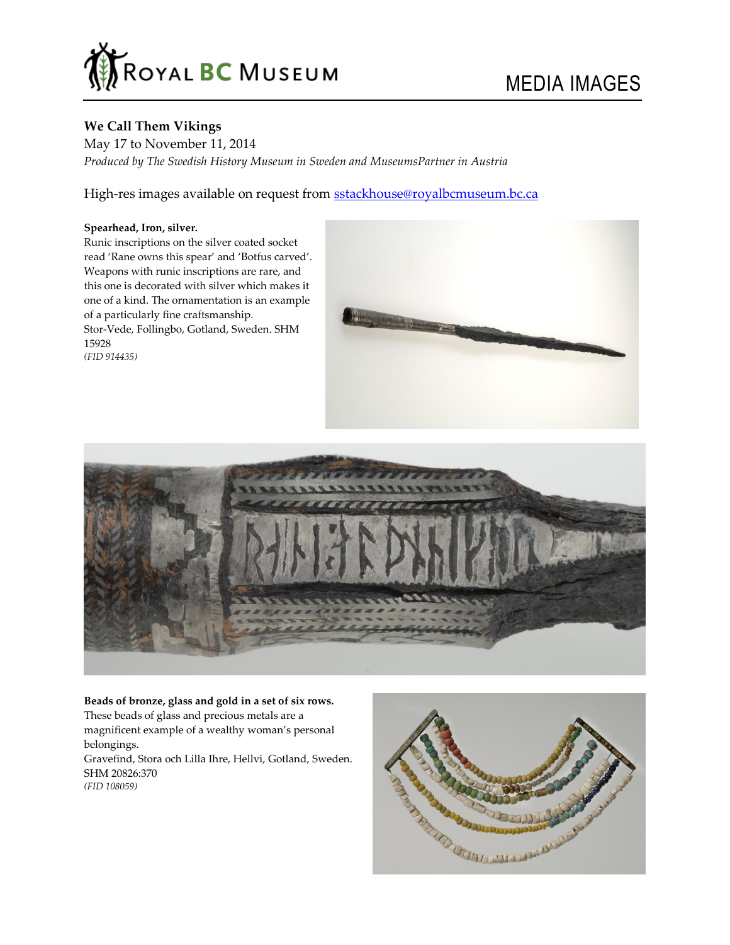

# **We Call Them Vikings**

May 17 to November 11, 2014 *Produced by The Swedish History Museum in Sweden and MuseumsPartner in Austria*

High-res images available on request from [sstackhouse@royalbcmuseum.bc.ca](mailto:sstackhouse@royalbcmuseum.bc.ca)

# **Spearhead, Iron, silver.**

Runic inscriptions on the silver coated socket read 'Rane owns this spear' and 'Botfus carved'. Weapons with runic inscriptions are rare, and this one is decorated with silver which makes it one of a kind. The ornamentation is an example of a particularly fine craftsmanship. Stor-Vede, Follingbo, Gotland, Sweden. SHM 15928 *(FID 914435)*





## **Beads of bronze, glass and gold in a set of six rows.**

These beads of glass and precious metals are a magnificent example of a wealthy woman's personal belongings. Gravefind, Stora och Lilla Ihre, Hellvi, Gotland, Sweden. SHM 20826:370 *(FID 108059)*

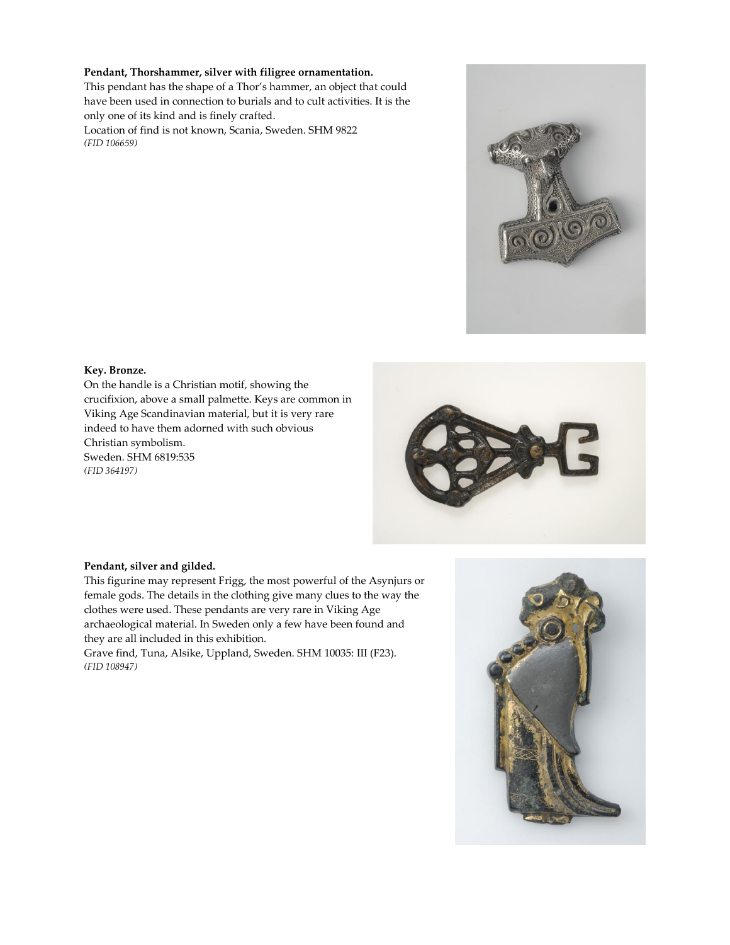### **Pendant, Thorshammer, silver with filigree ornamentation.**

This pendant has the shape of a Thor's hammer, an object that could have been used in connection to burials and to cult activities. It is the only one of its kind and is finely crafted.

Location of find is not known, Scania, Sweden. SHM 9822 *(FID 106659)*



# **Key. Bronze.**

On the handle is a Christian motif, showing the crucifixion, above a small palmette. Keys are common in Viking Age Scandinavian material, but it is very rare indeed to have them adorned with such obvious Christian symbolism. Sweden. SHM 6819:535 *(FID 364197)*



#### **Pendant, silver and gilded.**

This figurine may represent Frigg, the most powerful of the Asynjurs or female gods. The details in the clothing give many clues to the way the clothes were used. These pendants are very rare in Viking Age archaeological material. In Sweden only a few have been found and they are all included in this exhibition.

Grave find, Tuna, Alsike, Uppland, Sweden. SHM 10035: III (F23). *(FID 108947)*

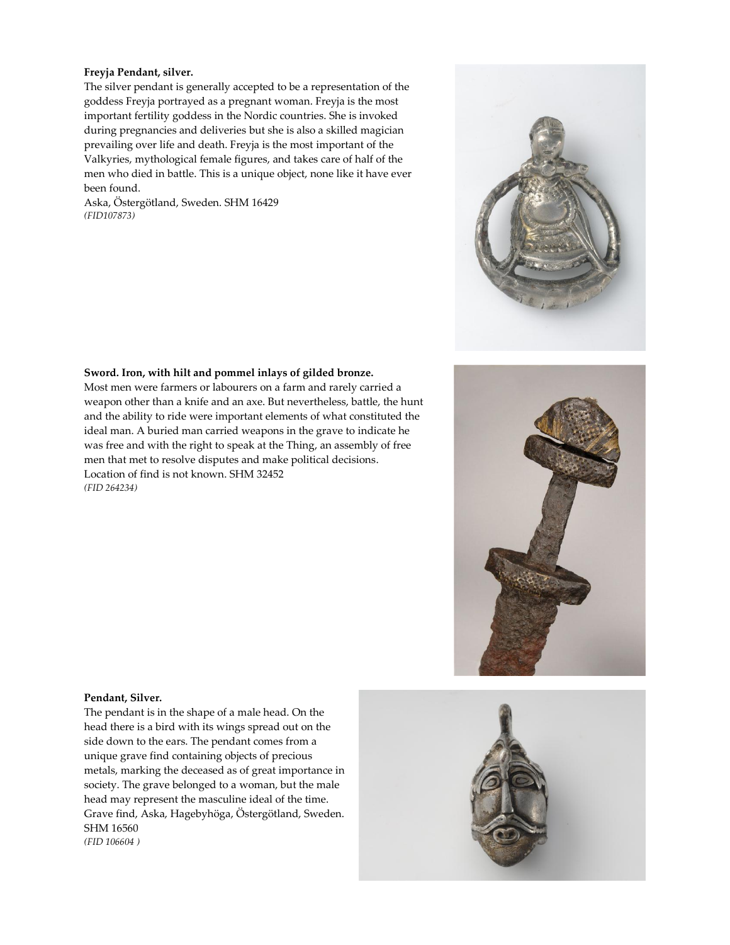### **Freyja Pendant, silver.**

The silver pendant is generally accepted to be a representation of the goddess Freyja portrayed as a pregnant woman. Freyja is the most important fertility goddess in the Nordic countries. She is invoked during pregnancies and deliveries but she is also a skilled magician prevailing over life and death. Freyja is the most important of the Valkyries, mythological female figures, and takes care of half of the men who died in battle. This is a unique object, none like it have ever been found.

Aska, Östergötland, Sweden. SHM 16429 *(FID107873)*



#### **Sword. Iron, with hilt and pommel inlays of gilded bronze.**

Most men were farmers or labourers on a farm and rarely carried a weapon other than a knife and an axe. But nevertheless, battle, the hunt and the ability to ride were important elements of what constituted the ideal man. A buried man carried weapons in the grave to indicate he was free and with the right to speak at the Thing, an assembly of free men that met to resolve disputes and make political decisions. Location of find is not known. SHM 32452 *(FID 264234)*



#### **Pendant, Silver.**

The pendant is in the shape of a male head. On the head there is a bird with its wings spread out on the side down to the ears. The pendant comes from a unique grave find containing objects of precious metals, marking the deceased as of great importance in society. The grave belonged to a woman, but the male head may represent the masculine ideal of the time. Grave find, Aska, Hagebyhöga, Östergötland, Sweden. SHM 16560 *(FID 106604 )*